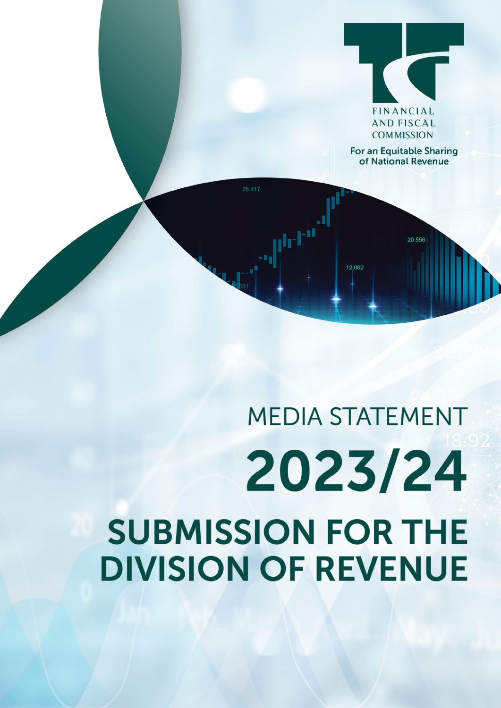

**For an Equitable Sharing** of National Revenue

20.556

# **MEDIA STATEMENT** 2023/24 **SUBMISSION FOR THE DIVISION OF REVENUE**

 $\mathbf{F}^{\text{in}}$ 

12.002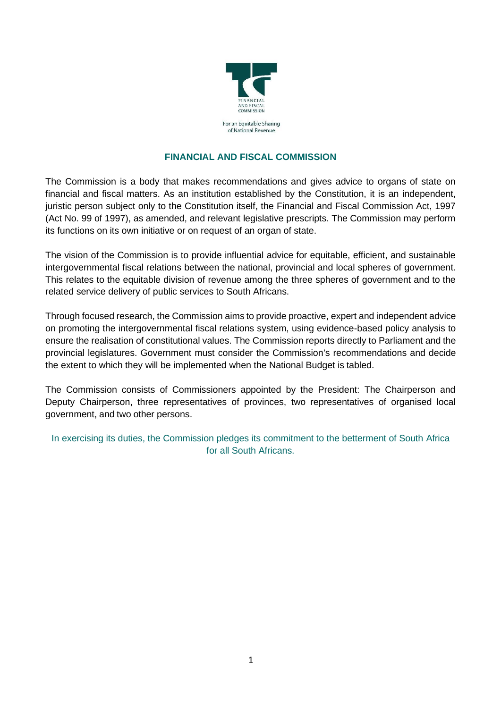

# **FINANCIAL AND FISCAL COMMISSION**

The Commission is a body that makes recommendations and gives advice to organs of state on financial and fiscal matters. As an institution established by the Constitution, it is an independent, juristic person subject only to the Constitution itself, the Financial and Fiscal Commission Act, 1997 (Act No. 99 of 1997), as amended, and relevant legislative prescripts. The Commission may perform its functions on its own initiative or on request of an organ of state.

The vision of the Commission is to provide influential advice for equitable, efficient, and sustainable intergovernmental fiscal relations between the national, provincial and local spheres of government. This relates to the equitable division of revenue among the three spheres of government and to the related service delivery of public services to South Africans.

Through focused research, the Commission aims to provide proactive, expert and independent advice on promoting the intergovernmental fiscal relations system, using evidence-based policy analysis to ensure the realisation of constitutional values. The Commission reports directly to Parliament and the provincial legislatures. Government must consider the Commission's recommendations and decide the extent to which they will be implemented when the National Budget is tabled.

The Commission consists of Commissioners appointed by the President: The Chairperson and Deputy Chairperson, three representatives of provinces, two representatives of organised local government, and two other persons.

In exercising its duties, the Commission pledges its commitment to the betterment of South Africa for all South Africans.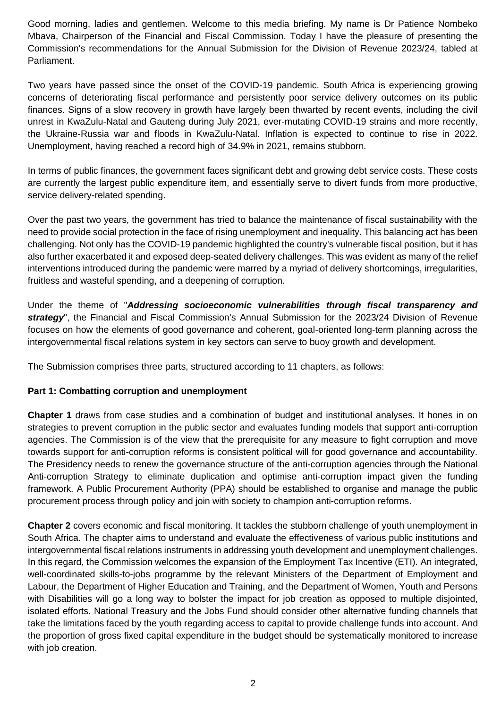Good morning, ladies and gentlemen. Welcome to this media briefing. My name is Dr Patience Nombeko Mbava, Chairperson of the Financial and Fiscal Commission. Today I have the pleasure of presenting the Commission's recommendations for the Annual Submission for the Division of Revenue 2023/24, tabled at Parliament.

Two years have passed since the onset of the COVID-19 pandemic. South Africa is experiencing growing concerns of deteriorating fiscal performance and persistently poor service delivery outcomes on its public finances. Signs of a slow recovery in growth have largely been thwarted by recent events, including the civil unrest in KwaZulu-Natal and Gauteng during July 2021, ever-mutating COVID-19 strains and more recently, the Ukraine-Russia war and floods in KwaZulu-Natal. Inflation is expected to continue to rise in 2022. Unemployment, having reached a record high of 34.9% in 2021, remains stubborn.

In terms of public finances, the government faces significant debt and growing debt service costs. These costs are currently the largest public expenditure item, and essentially serve to divert funds from more productive, service delivery-related spending.

Over the past two years, the government has tried to balance the maintenance of fiscal sustainability with the need to provide social protection in the face of rising unemployment and inequality. This balancing act has been challenging. Not only has the COVID-19 pandemic highlighted the country's vulnerable fiscal position, but it has also further exacerbated it and exposed deep-seated delivery challenges. This was evident as many of the relief interventions introduced during the pandemic were marred by a myriad of delivery shortcomings, irregularities, fruitless and wasteful spending, and a deepening of corruption.

Under the theme of "*Addressing socioeconomic vulnerabilities through fiscal transparency and strategy*", the Financial and Fiscal Commission's Annual Submission for the 2023/24 Division of Revenue focuses on how the elements of good governance and coherent, goal-oriented long-term planning across the intergovernmental fiscal relations system in key sectors can serve to buoy growth and development.

The Submission comprises three parts, structured according to 11 chapters, as follows:

# **Part 1: Combatting corruption and unemployment**

**Chapter 1** draws from case studies and a combination of budget and institutional analyses. It hones in on strategies to prevent corruption in the public sector and evaluates funding models that support anti-corruption agencies. The Commission is of the view that the prerequisite for any measure to fight corruption and move towards support for anti-corruption reforms is consistent political will for good governance and accountability. The Presidency needs to renew the governance structure of the anti-corruption agencies through the National Anti-corruption Strategy to eliminate duplication and optimise anti-corruption impact given the funding framework. A Public Procurement Authority (PPA) should be established to organise and manage the public procurement process through policy and join with society to champion anti-corruption reforms.

**Chapter 2** covers economic and fiscal monitoring. It tackles the stubborn challenge of youth unemployment in South Africa. The chapter aims to understand and evaluate the effectiveness of various public institutions and intergovernmental fiscal relations instruments in addressing youth development and unemployment challenges. In this regard, the Commission welcomes the expansion of the Employment Tax Incentive (ETI). An integrated, well-coordinated skills-to-jobs programme by the relevant Ministers of the Department of Employment and Labour, the Department of Higher Education and Training, and the Department of Women, Youth and Persons with Disabilities will go a long way to bolster the impact for job creation as opposed to multiple disjointed, isolated efforts. National Treasury and the Jobs Fund should consider other alternative funding channels that take the limitations faced by the youth regarding access to capital to provide challenge funds into account. And the proportion of gross fixed capital expenditure in the budget should be systematically monitored to increase with job creation.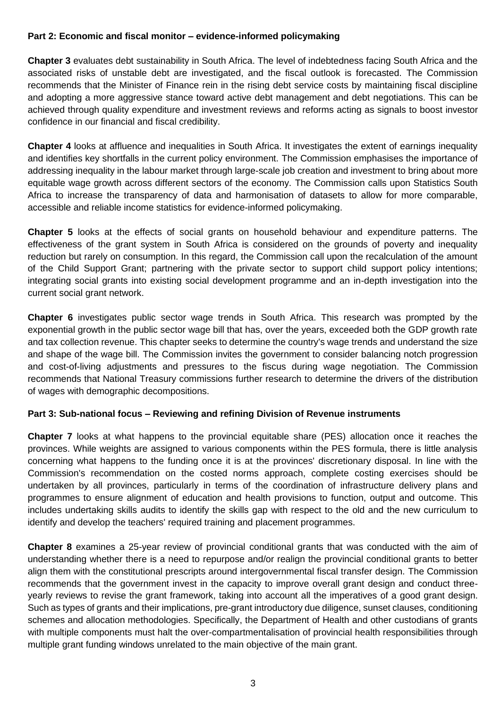# **Part 2: Economic and fiscal monitor – evidence-informed policymaking**

**Chapter 3** evaluates debt sustainability in South Africa. The level of indebtedness facing South Africa and the associated risks of unstable debt are investigated, and the fiscal outlook is forecasted. The Commission recommends that the Minister of Finance rein in the rising debt service costs by maintaining fiscal discipline and adopting a more aggressive stance toward active debt management and debt negotiations. This can be achieved through quality expenditure and investment reviews and reforms acting as signals to boost investor confidence in our financial and fiscal credibility.

**Chapter 4** looks at affluence and inequalities in South Africa. It investigates the extent of earnings inequality and identifies key shortfalls in the current policy environment. The Commission emphasises the importance of addressing inequality in the labour market through large-scale job creation and investment to bring about more equitable wage growth across different sectors of the economy. The Commission calls upon Statistics South Africa to increase the transparency of data and harmonisation of datasets to allow for more comparable, accessible and reliable income statistics for evidence-informed policymaking.

**Chapter 5** looks at the effects of social grants on household behaviour and expenditure patterns. The effectiveness of the grant system in South Africa is considered on the grounds of poverty and inequality reduction but rarely on consumption. In this regard, the Commission call upon the recalculation of the amount of the Child Support Grant; partnering with the private sector to support child support policy intentions; integrating social grants into existing social development programme and an in-depth investigation into the current social grant network.

**Chapter 6** investigates public sector wage trends in South Africa. This research was prompted by the exponential growth in the public sector wage bill that has, over the years, exceeded both the GDP growth rate and tax collection revenue. This chapter seeks to determine the country's wage trends and understand the size and shape of the wage bill. The Commission invites the government to consider balancing notch progression and cost-of-living adjustments and pressures to the fiscus during wage negotiation. The Commission recommends that National Treasury commissions further research to determine the drivers of the distribution of wages with demographic decompositions.

### **Part 3: Sub-national focus – Reviewing and refining Division of Revenue instruments**

**Chapter 7** looks at what happens to the provincial equitable share (PES) allocation once it reaches the provinces. While weights are assigned to various components within the PES formula, there is little analysis concerning what happens to the funding once it is at the provinces' discretionary disposal. In line with the Commission's recommendation on the costed norms approach, complete costing exercises should be undertaken by all provinces, particularly in terms of the coordination of infrastructure delivery plans and programmes to ensure alignment of education and health provisions to function, output and outcome. This includes undertaking skills audits to identify the skills gap with respect to the old and the new curriculum to identify and develop the teachers' required training and placement programmes.

**Chapter 8** examines a 25-year review of provincial conditional grants that was conducted with the aim of understanding whether there is a need to repurpose and/or realign the provincial conditional grants to better align them with the constitutional prescripts around intergovernmental fiscal transfer design. The Commission recommends that the government invest in the capacity to improve overall grant design and conduct threeyearly reviews to revise the grant framework, taking into account all the imperatives of a good grant design. Such as types of grants and their implications, pre-grant introductory due diligence, sunset clauses, conditioning schemes and allocation methodologies. Specifically, the Department of Health and other custodians of grants with multiple components must halt the over-compartmentalisation of provincial health responsibilities through multiple grant funding windows unrelated to the main objective of the main grant.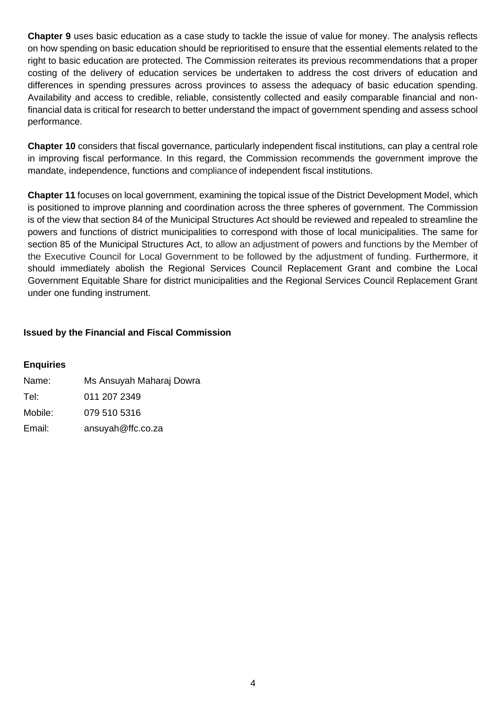**Chapter 9** uses basic education as a case study to tackle the issue of value for money. The analysis reflects on how spending on basic education should be reprioritised to ensure that the essential elements related to the right to basic education are protected. The Commission reiterates its previous recommendations that a proper costing of the delivery of education services be undertaken to address the cost drivers of education and differences in spending pressures across provinces to assess the adequacy of basic education spending. Availability and access to credible, reliable, consistently collected and easily comparable financial and nonfinancial data is critical for research to better understand the impact of government spending and assess school performance.

**Chapter 10** considers that fiscal governance, particularly independent fiscal institutions, can play a central role in improving fiscal performance. In this regard, the Commission recommends the government improve the mandate, independence, functions and compliance of independent fiscal institutions.

**Chapter 11** focuses on local government, examining the topical issue of the District Development Model, which is positioned to improve planning and coordination across the three spheres of government. The Commission is of the view that section 84 of the Municipal Structures Act should be reviewed and repealed to streamline the powers and functions of district municipalities to correspond with those of local municipalities. The same for section 85 of the Municipal Structures Act, to allow an adjustment of powers and functions by the Member of the Executive Council for Local Government to be followed by the adjustment of funding. Furthermore, it should immediately abolish the Regional Services Council Replacement Grant and combine the Local Government Equitable Share for district municipalities and the Regional Services Council Replacement Grant under one funding instrument.

# **Issued by the Financial and Fiscal Commission**

### **Enquiries**

| Name:   | Ms Ansuyah Maharaj Dowra |
|---------|--------------------------|
| Tel:    | 011 207 2349             |
| Mobile: | 079 510 5316             |
| Email:  | ansuyah@ffc.co.za        |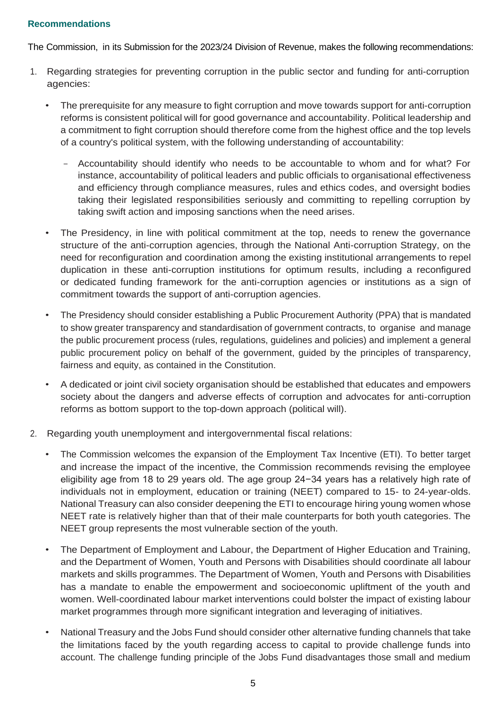## **Recommendations**

The Commission, in its Submission for the 2023/24 Division of Revenue, makes the following recommendations:

- 1. Regarding strategies for preventing corruption in the public sector and funding for anti-corruption agencies:
	- The prerequisite for any measure to fight corruption and move towards support for anti-corruption reforms is consistent political will for good governance and accountability. Political leadership and a commitment to fight corruption should therefore come from the highest office and the top levels of a country's political system, with the following understanding of accountability:
		- Accountability should identify who needs to be accountable to whom and for what? For instance, accountability of political leaders and public officials to organisational effectiveness and efficiency through compliance measures, rules and ethics codes, and oversight bodies taking their legislated responsibilities seriously and committing to repelling corruption by taking swift action and imposing sanctions when the need arises.
	- The Presidency, in line with political commitment at the top, needs to renew the governance structure of the anti-corruption agencies, through the National Anti-corruption Strategy, on the need for reconfiguration and coordination among the existing institutional arrangements to repel duplication in these anti-corruption institutions for optimum results, including a reconfigured or dedicated funding framework for the anti-corruption agencies or institutions as a sign of commitment towards the support of anti-corruption agencies.
	- The Presidency should consider establishing a Public Procurement Authority (PPA) that is mandated to show greater transparency and standardisation of government contracts, to organise and manage the public procurement process (rules, regulations, guidelines and policies) and implement a general public procurement policy on behalf of the government, guided by the principles of transparency, fairness and equity, as contained in the Constitution.
	- A dedicated or joint civil society organisation should be established that educates and empowers society about the dangers and adverse effects of corruption and advocates for anti-corruption reforms as bottom support to the top-down approach (political will).
- 2. Regarding youth unemployment and intergovernmental fiscal relations:
	- The Commission welcomes the expansion of the Employment Tax Incentive (ETI). To better target and increase the impact of the incentive, the Commission recommends revising the employee eligibility age from 18 to 29 years old. The age group 24−34 years has a relatively high rate of individuals not in employment, education or training (NEET) compared to 15- to 24-year-olds. National Treasury can also consider deepening the ETI to encourage hiring young women whose NEET rate is relatively higher than that of their male counterparts for both youth categories. The NEET group represents the most vulnerable section of the youth.
	- The Department of Employment and Labour, the Department of Higher Education and Training, and the Department of Women, Youth and Persons with Disabilities should coordinate all labour markets and skills programmes. The Department of Women, Youth and Persons with Disabilities has a mandate to enable the empowerment and socioeconomic upliftment of the youth and women. Well-coordinated labour market interventions could bolster the impact of existing labour market programmes through more significant integration and leveraging of initiatives.
	- National Treasury and the Jobs Fund should consider other alternative funding channels that take the limitations faced by the youth regarding access to capital to provide challenge funds into account. The challenge funding principle of the Jobs Fund disadvantages those small and medium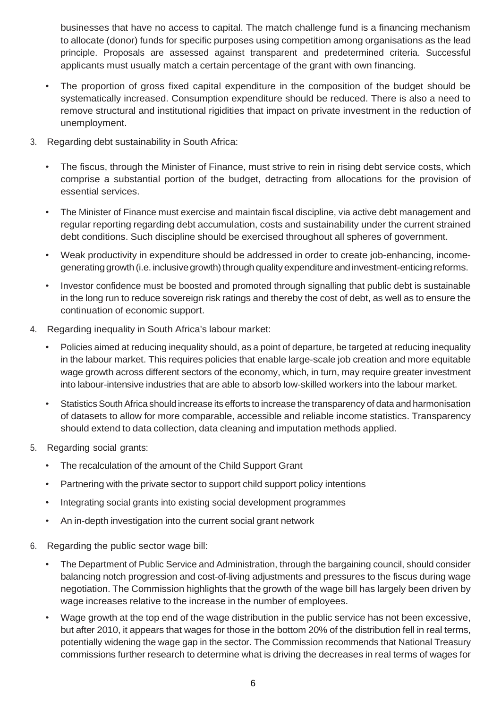businesses that have no access to capital. The match challenge fund is a financing mechanism to allocate (donor) funds for specific purposes using competition among organisations as the lead principle. Proposals are assessed against transparent and predetermined criteria. Successful applicants must usually match a certain percentage of the grant with own financing.

- The proportion of gross fixed capital expenditure in the composition of the budget should be systematically increased. Consumption expenditure should be reduced. There is also a need to remove structural and institutional rigidities that impact on private investment in the reduction of unemployment.
- 3. Regarding debt sustainability in South Africa:
	- The fiscus, through the Minister of Finance, must strive to rein in rising debt service costs, which comprise a substantial portion of the budget, detracting from allocations for the provision of essential services.
	- The Minister of Finance must exercise and maintain fiscal discipline, via active debt management and regular reporting regarding debt accumulation, costs and sustainability under the current strained debt conditions. Such discipline should be exercised throughout all spheres of government.
	- Weak productivity in expenditure should be addressed in order to create job-enhancing, incomegenerating growth (i.e. inclusive growth) through quality expenditure and investment-enticing reforms.
	- Investor confidence must be boosted and promoted through signalling that public debt is sustainable in the long run to reduce sovereign risk ratings and thereby the cost of debt, as well as to ensure the continuation of economic support.
- 4. Regarding inequality in South Africa's labour market:
	- Policies aimed at reducing inequality should, as a point of departure, be targeted at reducing inequality in the labour market. This requires policies that enable large-scale job creation and more equitable wage growth across different sectors of the economy, which, in turn, may require greater investment into labour-intensive industries that are able to absorb low-skilled workers into the labour market.
	- Statistics South Africa should increase its efforts to increase the transparency of data and harmonisation of datasets to allow for more comparable, accessible and reliable income statistics. Transparency should extend to data collection, data cleaning and imputation methods applied.
- 5. Regarding social grants:
	- The recalculation of the amount of the Child Support Grant
	- Partnering with the private sector to support child support policy intentions
	- Integrating social grants into existing social development programmes
	- An in-depth investigation into the current social grant network
- 6. Regarding the public sector wage bill:
	- The Department of Public Service and Administration, through the bargaining council, should consider balancing notch progression and cost-of-living adjustments and pressures to the fiscus during wage negotiation. The Commission highlights that the growth of the wage bill has largely been driven by wage increases relative to the increase in the number of employees.
	- Wage growth at the top end of the wage distribution in the public service has not been excessive, but after 2010, it appears that wages for those in the bottom 20% of the distribution fell in real terms, potentially widening the wage gap in the sector. The Commission recommends that National Treasury commissions further research to determine what is driving the decreases in real terms of wages for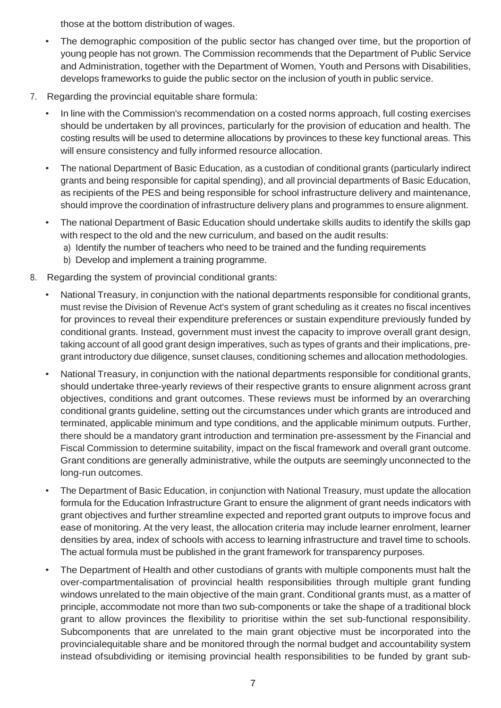those at the bottom distribution of wages.

- The demographic composition of the public sector has changed over time, but the proportion of young people has not grown. The Commission recommends that the Department of Public Service and Administration, together with the Department of Women, Youth and Persons with Disabilities, develops frameworks to guide the public sector on the inclusion of youth in public service.
- 7. Regarding the provincial equitable share formula:
	- In line with the Commission's recommendation on a costed norms approach, full costing exercises should be undertaken by all provinces, particularly for the provision of education and health. The costing results will be used to determine allocations by provinces to these key functional areas. This will ensure consistency and fully informed resource allocation.
	- The national Department of Basic Education, as a custodian of conditional grants (particularly indirect grants and being responsible for capital spending), and all provincial departments of Basic Education, as recipients of the PES and being responsible for school infrastructure delivery and maintenance, should improve the coordination of infrastructure delivery plans and programmes to ensure alignment.
	- The national Department of Basic Education should undertake skills audits to identify the skills gap with respect to the old and the new curriculum, and based on the audit results:
		- a) Identify the number of teachers who need to be trained and the funding requirements
		- b) Develop and implement a training programme.
- 8. Regarding the system of provincial conditional grants:
	- National Treasury, in conjunction with the national departments responsible for conditional grants, must revise the Division of Revenue Act's system of grant scheduling as it creates no fiscal incentives for provinces to reveal their expenditure preferences or sustain expenditure previously funded by conditional grants. Instead, government must invest the capacity to improve overall grant design, taking account of all good grant design imperatives, such as types of grants and their implications, pregrant introductory due diligence, sunset clauses, conditioning schemes and allocation methodologies.
	- National Treasury, in conjunction with the national departments responsible for conditional grants, should undertake three-yearly reviews of their respective grants to ensure alignment across grant objectives, conditions and grant outcomes. These reviews must be informed by an overarching conditional grants guideline, setting out the circumstances under which grants are introduced and terminated, applicable minimum and type conditions, and the applicable minimum outputs. Further, there should be a mandatory grant introduction and termination pre-assessment by the Financial and Fiscal Commission to determine suitability, impact on the fiscal framework and overall grant outcome. Grant conditions are generally administrative, while the outputs are seemingly unconnected to the long-run outcomes.
	- The Department of Basic Education, in conjunction with National Treasury, must update the allocation formula for the Education Infrastructure Grant to ensure the alignment of grant needs indicators with grant objectives and further streamline expected and reported grant outputs to improve focus and ease of monitoring. At the very least, the allocation criteria may include learner enrolment, learner densities by area, index of schools with access to learning infrastructure and travel time to schools. The actual formula must be published in the grant framework for transparency purposes.
	- The Department of Health and other custodians of grants with multiple components must halt the over-compartmentalisation of provincial health responsibilities through multiple grant funding windows unrelated to the main objective of the main grant. Conditional grants must, as a matter of principle, accommodate not more than two sub-components or take the shape of a traditional block grant to allow provinces the flexibility to prioritise within the set sub-functional responsibility. Subcomponents that are unrelated to the main grant objective must be incorporated into the provincialequitable share and be monitored through the normal budget and accountability system instead ofsubdividing or itemising provincial health responsibilities to be funded by grant sub-